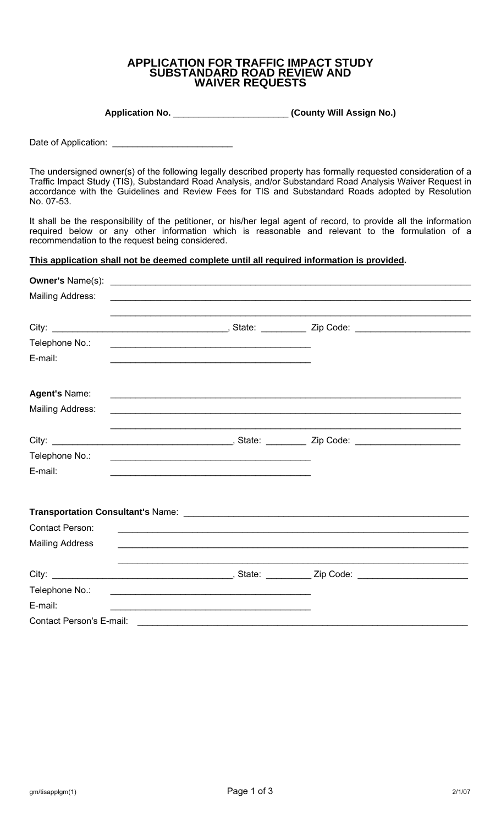## **APPLICATION FOR TRAFFIC IMPACT STUDY SUBSTANDARD ROAD REVIEW AND WAIVER REQUESTS**

**Application No.** \_\_\_\_\_\_\_\_\_\_\_\_\_\_\_\_\_\_\_\_\_\_\_ **(County Will Assign No.)** 

Date of Application:

The undersigned owner(s) of the following legally described property has formally requested consideration of a Traffic Impact Study (TIS), Substandard Road Analysis, and/or Substandard Road Analysis Waiver Request in accordance with the Guidelines and Review Fees for TIS and Substandard Roads adopted by Resolution No. 07-53.

It shall be the responsibility of the petitioner, or his/her legal agent of record, to provide all the information required below or any other information which is reasonable and relevant to the formulation of a recommendation to the request being considered.

## **This application shall not be deemed complete until all required information is provided.**

| <b>Owner's Name(s):</b>         | <u> 1989 - Johann Barbara, martin amerikan basal dan berasal dan berasal dari berasal dalam berasal dan berasal d</u> |                                                             |  |
|---------------------------------|-----------------------------------------------------------------------------------------------------------------------|-------------------------------------------------------------|--|
| <b>Mailing Address:</b>         |                                                                                                                       | <u> 1989 - Johann Stoff, amerikansk politiker (d. 1989)</u> |  |
|                                 |                                                                                                                       |                                                             |  |
| Telephone No.:                  | <u> 1989 - Johann John Harry Barbara, mars an i bhaile an t-Alban an t-Alban an t-Alban an t-Alban an t-Alban an </u> |                                                             |  |
| E-mail:                         |                                                                                                                       |                                                             |  |
| Agent's Name:                   |                                                                                                                       |                                                             |  |
| Mailing Address:                |                                                                                                                       |                                                             |  |
|                                 |                                                                                                                       |                                                             |  |
| Telephone No.:                  |                                                                                                                       |                                                             |  |
| E-mail:                         | <u> 1989 - Johann Stoff, amerikansk politiker (d. 1989)</u>                                                           |                                                             |  |
|                                 |                                                                                                                       |                                                             |  |
| <b>Contact Person:</b>          |                                                                                                                       |                                                             |  |
| <b>Mailing Address</b>          |                                                                                                                       |                                                             |  |
|                                 |                                                                                                                       |                                                             |  |
| Telephone No.:                  |                                                                                                                       |                                                             |  |
| E-mail:                         | <u> 1989 - Johann John Stoff, deutscher Stoffen und der Stoffen und der Stoffen und der Stoffen und der Stoffen u</u> |                                                             |  |
| <b>Contact Person's E-mail:</b> |                                                                                                                       |                                                             |  |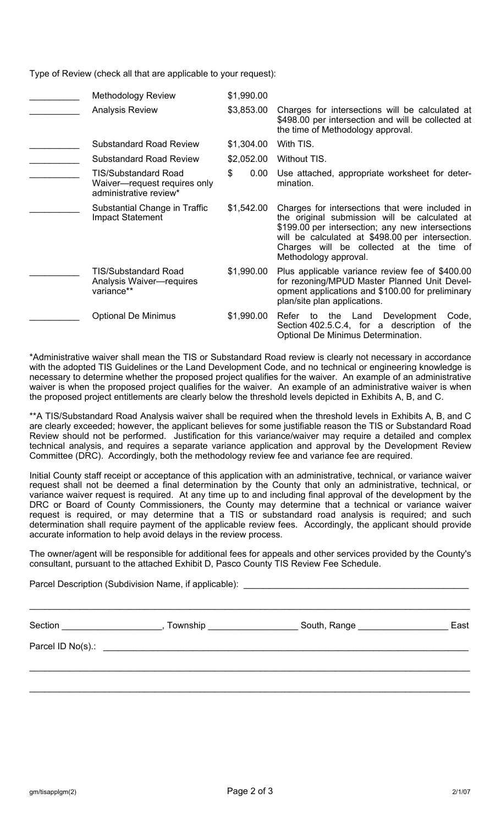Type of Review (check all that are applicable to your request):

| <b>Methodology Review</b>                                                             | \$1,990.00 |                                                                                                                                                                                                                                                                               |
|---------------------------------------------------------------------------------------|------------|-------------------------------------------------------------------------------------------------------------------------------------------------------------------------------------------------------------------------------------------------------------------------------|
| <b>Analysis Review</b>                                                                | \$3,853.00 | Charges for intersections will be calculated at<br>\$498.00 per intersection and will be collected at<br>the time of Methodology approval.                                                                                                                                    |
| <b>Substandard Road Review</b>                                                        | \$1,304.00 | With TIS.                                                                                                                                                                                                                                                                     |
| <b>Substandard Road Review</b>                                                        | \$2,052.00 | Without TIS.                                                                                                                                                                                                                                                                  |
| <b>TIS/Substandard Road</b><br>Waiver-request requires only<br>administrative review* | \$<br>0.00 | Use attached, appropriate worksheet for deter-<br>mination.                                                                                                                                                                                                                   |
| Substantial Change in Traffic<br><b>Impact Statement</b>                              | \$1,542.00 | Charges for intersections that were included in<br>the original submission will be calculated at<br>\$199.00 per intersection; any new intersections<br>will be calculated at \$498.00 per intersection.<br>Charges will be collected at the time of<br>Methodology approval. |
| <b>TIS/Substandard Road</b><br>Analysis Waiver-requires<br>variance**                 | \$1,990.00 | Plus applicable variance review fee of \$400.00<br>for rezoning/MPUD Master Planned Unit Devel-<br>opment applications and \$100.00 for preliminary<br>plan/site plan applications.                                                                                           |
| <b>Optional De Minimus</b>                                                            | \$1,990.00 | the Land Development<br>Refer<br>to<br>Code,<br>Section 402.5.C.4, for a description<br>of the<br>Optional De Minimus Determination.                                                                                                                                          |

\*Administrative waiver shall mean the TIS or Substandard Road review is clearly not necessary in accordance with the adopted TIS Guidelines or the Land Development Code, and no technical or engineering knowledge is necessary to determine whether the proposed project qualifies for the waiver. An example of an administrative waiver is when the proposed project qualifies for the waiver. An example of an administrative waiver is when the proposed project entitlements are clearly below the threshold levels depicted in Exhibits A, B, and C.

\*\*A TIS/Substandard Road Analysis waiver shall be required when the threshold levels in Exhibits A, B, and C are clearly exceeded; however, the applicant believes for some justifiable reason the TIS or Substandard Road Review should not be performed. Justification for this variance/waiver may require a detailed and complex technical analysis, and requires a separate variance application and approval by the Development Review Committee (DRC). Accordingly, both the methodology review fee and variance fee are required.

Initial County staff receipt or acceptance of this application with an administrative, technical, or variance waiver request shall not be deemed a final determination by the County that only an administrative, technical, or variance waiver request is required. At any time up to and including final approval of the development by the DRC or Board of County Commissioners, the County may determine that a technical or variance waiver request is required, or may determine that a TIS or substandard road analysis is required; and such determination shall require payment of the applicable review fees. Accordingly, the applicant should provide accurate information to help avoid delays in the review process.

The owner/agent will be responsible for additional fees for appeals and other services provided by the County's consultant, pursuant to the attached Exhibit D, Pasco County TIS Review Fee Schedule.

Parcel Description (Subdivision Name, if applicable): \_\_\_\_\_\_\_\_\_\_\_\_\_\_\_\_\_\_\_\_\_\_\_\_\_\_\_\_\_\_\_\_\_\_\_\_\_\_\_\_\_\_\_\_\_\_\_\_\_\_\_\_\_\_\_\_\_\_\_\_\_\_\_\_\_\_\_\_\_\_\_\_\_\_\_\_\_\_\_\_\_\_\_\_\_\_\_\_ Section \_\_\_\_\_\_\_\_\_\_\_\_\_\_\_\_\_\_\_\_\_\_, Township \_\_\_\_\_\_\_\_\_\_\_\_\_\_\_\_\_\_\_\_\_South, Range \_\_\_\_\_\_\_\_\_\_\_\_\_\_\_\_\_\_\_\_\_\_\_East Parcel ID No(s).: \_\_\_\_\_\_\_\_ \_\_\_\_\_\_\_\_\_\_\_\_\_\_\_\_\_\_\_\_\_\_\_\_\_\_\_\_\_\_\_\_\_\_\_\_\_\_\_\_\_\_\_\_\_\_\_\_\_\_\_\_\_\_\_\_\_\_\_\_\_\_\_\_\_\_\_\_\_\_\_\_\_\_\_\_\_\_\_\_\_\_\_\_\_\_\_\_

\_\_\_\_\_\_\_\_\_\_\_\_\_\_\_\_\_\_\_\_\_\_\_\_\_\_\_\_\_\_\_\_\_\_\_\_\_\_\_\_\_\_\_\_\_\_\_\_\_\_\_\_\_\_\_\_\_\_\_\_\_\_\_\_\_\_\_\_\_\_\_\_\_\_\_\_\_\_\_\_\_\_\_\_\_\_\_\_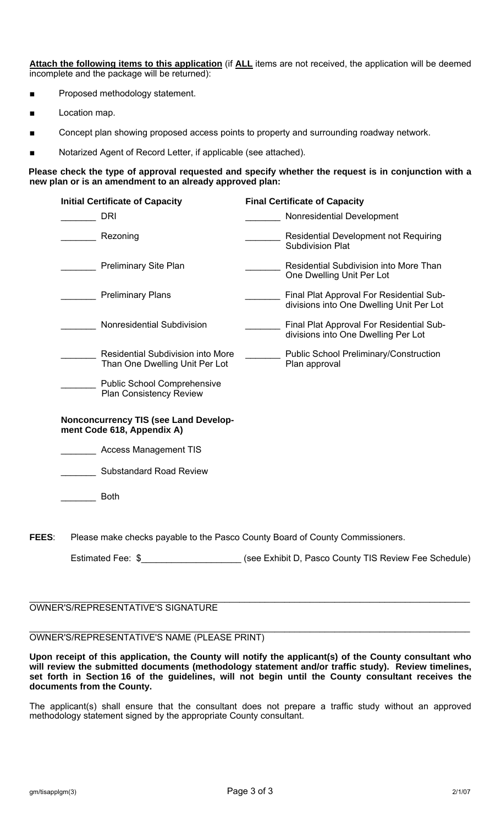**Attach the following items to this application** (if **ALL** items are not received, the application will be deemed incomplete and the package will be returned):

- Proposed methodology statement.
- Location map.
- Concept plan showing proposed access points to property and surrounding roadway network.
- Notarized Agent of Record Letter, if applicable (see attached).

### **Please check the type of approval requested and specify whether the request is in conjunction with a new plan or is an amendment to an already approved plan:**

| <b>Initial Certificate of Capacity</b>                                     | <b>Final Certificate of Capacity</b>                                                 |
|----------------------------------------------------------------------------|--------------------------------------------------------------------------------------|
| DRI                                                                        | Nonresidential Development                                                           |
| Rezoning                                                                   | Residential Development not Requiring<br><b>Subdivision Plat</b>                     |
| <b>Preliminary Site Plan</b>                                               | <b>Residential Subdivision into More Than</b><br>One Dwelling Unit Per Lot           |
| <b>Preliminary Plans</b>                                                   | Final Plat Approval For Residential Sub-<br>divisions into One Dwelling Unit Per Lot |
| Nonresidential Subdivision                                                 | Final Plat Approval For Residential Sub-<br>divisions into One Dwelling Per Lot      |
| Residential Subdivision into More<br>Than One Dwelling Unit Per Lot        | <b>Public School Preliminary/Construction</b><br>Plan approval                       |
| <b>Public School Comprehensive</b><br><b>Plan Consistency Review</b>       |                                                                                      |
| <b>Nonconcurrency TIS (see Land Develop-</b><br>ment Code 618, Appendix A) |                                                                                      |
| <b>Access Management TIS</b>                                               |                                                                                      |
| <b>Substandard Road Review</b>                                             |                                                                                      |

\_\_\_\_\_\_\_ Both

**FEES**: Please make checks payable to the Pasco County Board of County Commissioners.

Estimated Fee: \$\_\_\_\_\_\_\_\_\_\_\_\_\_\_\_\_\_\_\_\_\_\_\_\_ (see Exhibit D, Pasco County TIS Review Fee Schedule)

#### \_\_\_\_\_\_\_\_\_\_\_\_\_\_\_\_\_\_\_\_\_\_\_\_\_\_\_\_\_\_\_\_\_\_\_\_\_\_\_\_\_\_\_\_\_\_\_\_\_\_\_\_\_\_\_\_\_\_\_\_\_\_\_\_\_\_\_\_\_\_\_\_\_\_\_\_\_\_\_\_\_\_\_\_\_\_\_\_ OWNER'S/REPRESENTATIVE'S SIGNATURE

#### \_\_\_\_\_\_\_\_\_\_\_\_\_\_\_\_\_\_\_\_\_\_\_\_\_\_\_\_\_\_\_\_\_\_\_\_\_\_\_\_\_\_\_\_\_\_\_\_\_\_\_\_\_\_\_\_\_\_\_\_\_\_\_\_\_\_\_\_\_\_\_\_\_\_\_\_\_\_\_\_\_\_\_\_\_\_\_\_ OWNER'S/REPRESENTATIVE'S NAME (PLEASE PRINT)

**Upon receipt of this application, the County will notify the applicant(s) of the County consultant who will review the submitted documents (methodology statement and/or traffic study). Review timelines, set forth in Section 16 of the guidelines, will not begin until the County consultant receives the documents from the County.** 

The applicant(s) shall ensure that the consultant does not prepare a traffic study without an approved methodology statement signed by the appropriate County consultant.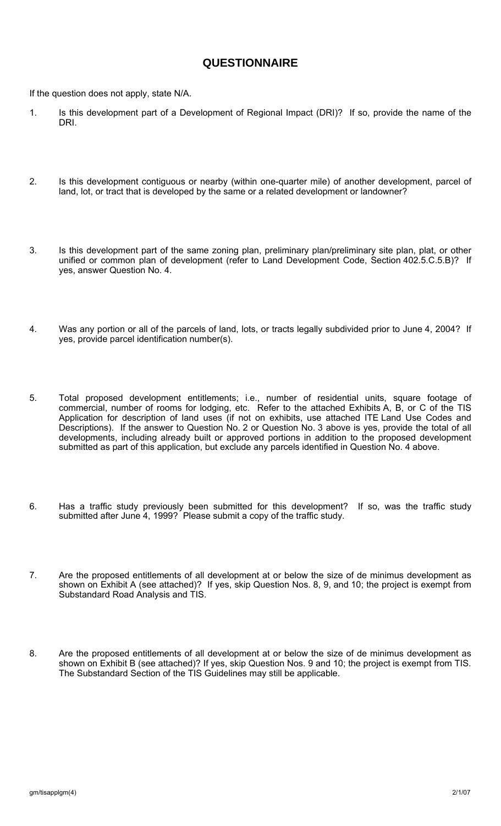# **QUESTIONNAIRE**

If the question does not apply, state N/A.

- 1. Is this development part of a Development of Regional Impact (DRI)? If so, provide the name of the DRI.
- 2. Is this development contiguous or nearby (within one-quarter mile) of another development, parcel of land, lot, or tract that is developed by the same or a related development or landowner?
- 3. Is this development part of the same zoning plan, preliminary plan/preliminary site plan, plat, or other unified or common plan of development (refer to Land Development Code, Section 402.5.C.5.B)? If yes, answer Question No. 4.
- 4. Was any portion or all of the parcels of land, lots, or tracts legally subdivided prior to June 4, 2004? If yes, provide parcel identification number(s).
- 5. Total proposed development entitlements; i.e., number of residential units, square footage of commercial, number of rooms for lodging, etc. Refer to the attached Exhibits A, B, or C of the TIS Application for description of land uses (if not on exhibits, use attached ITE Land Use Codes and Descriptions). If the answer to Question No. 2 or Question No. 3 above is yes, provide the total of all developments, including already built or approved portions in addition to the proposed development submitted as part of this application, but exclude any parcels identified in Question No. 4 above.
- 6. Has a traffic study previously been submitted for this development? If so, was the traffic study submitted after June 4, 1999? Please submit a copy of the traffic study.
- 7. Are the proposed entitlements of all development at or below the size of de minimus development as shown on Exhibit A (see attached)? If yes, skip Question Nos. 8, 9, and 10; the project is exempt from Substandard Road Analysis and TIS.
- 8. Are the proposed entitlements of all development at or below the size of de minimus development as shown on Exhibit B (see attached)? If yes, skip Question Nos. 9 and 10; the project is exempt from TIS. The Substandard Section of the TIS Guidelines may still be applicable.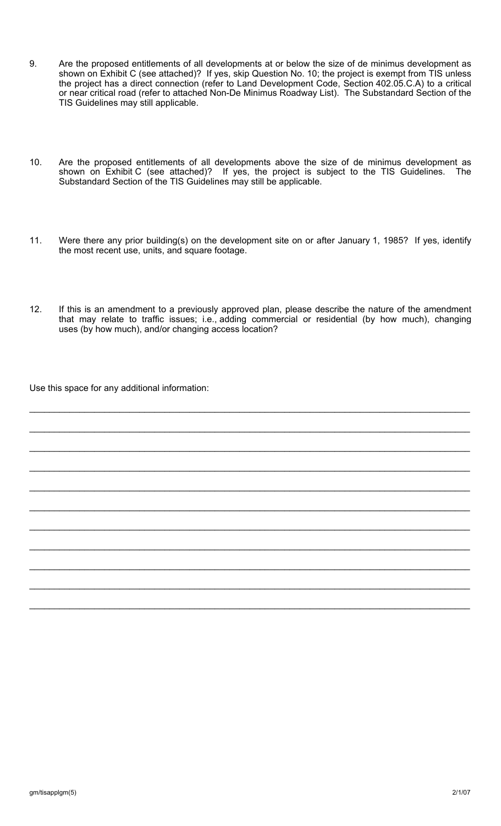- 9. Are the proposed entitlements of all developments at or below the size of de minimus development as shown on Exhibit C (see attached)? If yes, skip Question No. 10; the project is exempt from TIS unless the project has a direct connection (refer to Land Development Code, Section 402.05.C.A) to a critical or near critical road (refer to attached Non-De Minimus Roadway List). The Substandard Section of the TIS Guidelines may still applicable.
- 10. Are the proposed entitlements of all developments above the size of de minimus development as shown on Exhibit C (see attached)? If yes, the project is subject to the TIS Guidelines. The Substandard Section of the TIS Guidelines may still be applicable.
- 11. Were there any prior building(s) on the development site on or after January 1, 1985? If yes, identify the most recent use, units, and square footage.
- 12. If this is an amendment to a previously approved plan, please describe the nature of the amendment that may relate to traffic issues; i.e., adding commercial or residential (by how much), changing uses (by how much), and/or changing access location?

\_\_\_\_\_\_\_\_\_\_\_\_\_\_\_\_\_\_\_\_\_\_\_\_\_\_\_\_\_\_\_\_\_\_\_\_\_\_\_\_\_\_\_\_\_\_\_\_\_\_\_\_\_\_\_\_\_\_\_\_\_\_\_\_\_\_\_\_\_\_\_\_\_\_\_\_\_\_\_\_\_\_\_\_\_\_\_\_

\_\_\_\_\_\_\_\_\_\_\_\_\_\_\_\_\_\_\_\_\_\_\_\_\_\_\_\_\_\_\_\_\_\_\_\_\_\_\_\_\_\_\_\_\_\_\_\_\_\_\_\_\_\_\_\_\_\_\_\_\_\_\_\_\_\_\_\_\_\_\_\_\_\_\_\_\_\_\_\_\_\_\_\_\_\_\_\_

\_\_\_\_\_\_\_\_\_\_\_\_\_\_\_\_\_\_\_\_\_\_\_\_\_\_\_\_\_\_\_\_\_\_\_\_\_\_\_\_\_\_\_\_\_\_\_\_\_\_\_\_\_\_\_\_\_\_\_\_\_\_\_\_\_\_\_\_\_\_\_\_\_\_\_\_\_\_\_\_\_\_\_\_\_\_\_\_

\_\_\_\_\_\_\_\_\_\_\_\_\_\_\_\_\_\_\_\_\_\_\_\_\_\_\_\_\_\_\_\_\_\_\_\_\_\_\_\_\_\_\_\_\_\_\_\_\_\_\_\_\_\_\_\_\_\_\_\_\_\_\_\_\_\_\_\_\_\_\_\_\_\_\_\_\_\_\_\_\_\_\_\_\_\_\_\_

\_\_\_\_\_\_\_\_\_\_\_\_\_\_\_\_\_\_\_\_\_\_\_\_\_\_\_\_\_\_\_\_\_\_\_\_\_\_\_\_\_\_\_\_\_\_\_\_\_\_\_\_\_\_\_\_\_\_\_\_\_\_\_\_\_\_\_\_\_\_\_\_\_\_\_\_\_\_\_\_\_\_\_\_\_\_\_\_

\_\_\_\_\_\_\_\_\_\_\_\_\_\_\_\_\_\_\_\_\_\_\_\_\_\_\_\_\_\_\_\_\_\_\_\_\_\_\_\_\_\_\_\_\_\_\_\_\_\_\_\_\_\_\_\_\_\_\_\_\_\_\_\_\_\_\_\_\_\_\_\_\_\_\_\_\_\_\_\_\_\_\_\_\_\_\_\_

\_\_\_\_\_\_\_\_\_\_\_\_\_\_\_\_\_\_\_\_\_\_\_\_\_\_\_\_\_\_\_\_\_\_\_\_\_\_\_\_\_\_\_\_\_\_\_\_\_\_\_\_\_\_\_\_\_\_\_\_\_\_\_\_\_\_\_\_\_\_\_\_\_\_\_\_\_\_\_\_\_\_\_\_\_\_\_\_

\_\_\_\_\_\_\_\_\_\_\_\_\_\_\_\_\_\_\_\_\_\_\_\_\_\_\_\_\_\_\_\_\_\_\_\_\_\_\_\_\_\_\_\_\_\_\_\_\_\_\_\_\_\_\_\_\_\_\_\_\_\_\_\_\_\_\_\_\_\_\_\_\_\_\_\_\_\_\_\_\_\_\_\_\_\_\_\_

\_\_\_\_\_\_\_\_\_\_\_\_\_\_\_\_\_\_\_\_\_\_\_\_\_\_\_\_\_\_\_\_\_\_\_\_\_\_\_\_\_\_\_\_\_\_\_\_\_\_\_\_\_\_\_\_\_\_\_\_\_\_\_\_\_\_\_\_\_\_\_\_\_\_\_\_\_\_\_\_\_\_\_\_\_\_\_\_

\_\_\_\_\_\_\_\_\_\_\_\_\_\_\_\_\_\_\_\_\_\_\_\_\_\_\_\_\_\_\_\_\_\_\_\_\_\_\_\_\_\_\_\_\_\_\_\_\_\_\_\_\_\_\_\_\_\_\_\_\_\_\_\_\_\_\_\_\_\_\_\_\_\_\_\_\_\_\_\_\_\_\_\_\_\_\_\_

\_\_\_\_\_\_\_\_\_\_\_\_\_\_\_\_\_\_\_\_\_\_\_\_\_\_\_\_\_\_\_\_\_\_\_\_\_\_\_\_\_\_\_\_\_\_\_\_\_\_\_\_\_\_\_\_\_\_\_\_\_\_\_\_\_\_\_\_\_\_\_\_\_\_\_\_\_\_\_\_\_\_\_\_\_\_\_\_

Use this space for any additional information: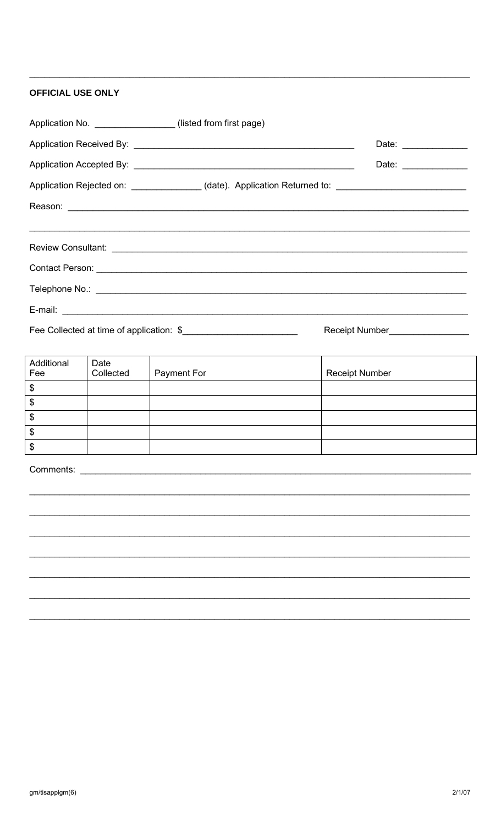## **OFFICIAL USE ONLY**

| Application No. _________________(listed from first page)                                            |                                   |
|------------------------------------------------------------------------------------------------------|-----------------------------------|
|                                                                                                      | Date: _______________             |
|                                                                                                      |                                   |
| Application Rejected on: _______________(date). Application Returned to: ___________________________ |                                   |
|                                                                                                      |                                   |
|                                                                                                      |                                   |
|                                                                                                      |                                   |
|                                                                                                      |                                   |
|                                                                                                      |                                   |
|                                                                                                      |                                   |
| Fee Collected at time of application: \$                                                             | Receipt Number___________________ |

Additional Date Fee Collected Payment For Receipt Number  $\overline{\mathbf{B}}$  $\boldsymbol{\$}$  $\boldsymbol{\$}$  $\bullet$  $\overline{\$}$ 

Comments: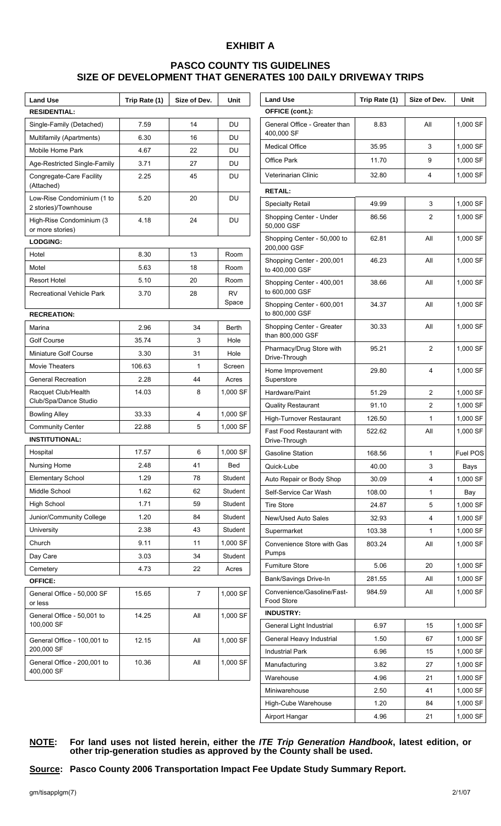# **EXHIBIT A**

# **PASCO COUNTY TIS GUIDELINES SIZE OF DEVELOPMENT THAT GENERATES 100 DAILY DRIVEWAY TRIPS**

 $\overline{\phantom{a}}$ 

| <b>Land Use</b>                                    | Trip Rate (1) | Size of Dev. | Unit               |
|----------------------------------------------------|---------------|--------------|--------------------|
| <b>RESIDENTIAL:</b>                                |               |              |                    |
| Single-Family (Detached)                           | 7.59          | 14           | DU                 |
| Multifamily (Apartments)                           | 6.30          | 16           | DU                 |
| Mobile Home Park                                   | 4.67          | 22           | DU                 |
| Age-Restricted Single-Family                       | 3.71          | 27           | DU                 |
| Congregate-Care Facility<br>(Attached)             | 2.25          | 45           | DU                 |
| Low-Rise Condominium (1 to<br>2 stories)/Townhouse | 5.20          | 20           | DU                 |
| High-Rise Condominium (3<br>or more stories)       | 4.18          | 24           | DU                 |
| <b>LODGING:</b>                                    |               |              |                    |
| Hotel                                              | 8.30          | 13           | Room               |
| Motel                                              | 5.63          | 18           | Room               |
| <b>Resort Hotel</b>                                | 5.10          | 20           | Room               |
| <b>Recreational Vehicle Park</b>                   | 3.70          | 28           | <b>RV</b><br>Space |
| <b>RECREATION:</b>                                 |               |              |                    |
| Marina                                             | 2.96          | 34           | <b>Berth</b>       |
| <b>Golf Course</b>                                 | 35.74         | 3            | Hole               |
| Miniature Golf Course                              | 3.30          | 31           | Hole               |
| <b>Movie Theaters</b>                              | 106.63        | 1            | Screen             |
| <b>General Recreation</b>                          | 2.28          | 44           | Acres              |
| Racquet Club/Health<br>Club/Spa/Dance Studio       | 14.03         | 8            | 1,000 SF           |
| <b>Bowling Alley</b>                               | 33.33         | 4            | 1,000 SF           |
| <b>Community Center</b>                            | 22.88         | 5            | 1,000 SF           |
| <b>INSTITUTIONAL:</b>                              |               |              |                    |
| Hospital                                           | 17.57         | 6            | 1,000 SF           |
| Nursing Home                                       | 2.48          | 41           | Bed                |
| <b>Elementary School</b>                           | 1.29          | 78           | Student            |
| Middle School                                      | 1.62          | 62           | Student            |
| <b>High School</b>                                 | 1.71          | 59           | Student            |
| Junior/Community College                           | 1.20          | 84           | Student            |
| University                                         | 2.38          | 43           | Student            |
| Church                                             | 9.11          | 11           | 1,000 SF           |
| Day Care                                           | 3.03          | 34           | Student            |
| Cemetery                                           | 4.73          | 22           | Acres              |
| <b>OFFICE:</b>                                     |               |              |                    |
| General Office - 50,000 SF<br>or less              | 15.65         | 7            | 1,000 SF           |
| General Office - 50,001 to<br>100,000 SF           | 14.25         | All          | 1,000 SF           |
| General Office - 100,001 to<br>200,000 SF          | 12.15         | All          | 1,000 SF           |
| General Office - 200,001 to<br>400,000 SF          | 10.36         | All          | 1,000 SF           |

| <b>Land Use</b>                                   | Trip Rate (1) | Size of Dev. | Unit     |
|---------------------------------------------------|---------------|--------------|----------|
| OFFICE (cont.):                                   |               |              |          |
| General Office - Greater than<br>400.000 SF       | 8.83          | All          | 1,000 SF |
| <b>Medical Office</b>                             | 35.95         | 3            | 1,000 SF |
| <b>Office Park</b>                                | 11.70         | 9            | 1,000 SF |
| Veterinarian Clinic                               | 32.80         | 4            | 1,000 SF |
| <b>RETAIL:</b>                                    |               |              |          |
| <b>Specialty Retail</b>                           | 49.99         | 3            | 1,000 SF |
| Shopping Center - Under<br>50,000 GSF             | 86.56         | 2            | 1,000 SF |
| Shopping Center - 50,000 to<br>200,000 GSF        | 62.81         | All          | 1,000 SF |
| Shopping Center - 200,001<br>to 400,000 GSF       | 46.23         | All          | 1,000 SF |
| Shopping Center - 400,001<br>to 600,000 GSF       | 38.66         | All          | 1,000 SF |
| Shopping Center - 600,001<br>to 800,000 GSF       | 34.37         | All          | 1,000 SF |
| Shopping Center - Greater<br>than 800,000 GSF     | 30.33         | All          | 1,000 SF |
| Pharmacy/Drug Store with<br>Drive-Through         | 95.21         | 2            | 1,000 SF |
| Home Improvement<br>Superstore                    | 29.80         | 4            | 1,000 SF |
| Hardware/Paint                                    | 51.29         | 2            | 1,000 SF |
| <b>Quality Restaurant</b>                         | 91.10         | 2            | 1,000 SF |
| High-Turnover Restaurant                          | 126.50        | 1            | 1,000 SF |
| <b>Fast Food Restaurant with</b><br>Drive-Through | 522.62        | All          | 1,000 SF |
| <b>Gasoline Station</b>                           | 168.56        | 1            | Fuel POS |
| Quick-Lube                                        | 40.00         | 3            | Bays     |
| Auto Repair or Body Shop                          | 30.09         | 4            | 1,000 SF |
| Self-Service Car Wash                             | 108.00        | 1            | Bay      |
| <b>Tire Store</b>                                 | 24.87         | 5            | 1,000 SF |
| <b>New/Used Auto Sales</b>                        | 32.93         | 4            | 1,000 SF |
| Supermarket                                       | 103.38        | 1            | 1,000 SF |
| Convenience Store with Gas<br>Pumps               | 803.24        | All          | 1,000 SF |
| <b>Furniture Store</b>                            | 5.06          | 20           | 1,000 SF |
| Bank/Savings Drive-In                             | 281.55        | All          | 1,000 SF |
| Convenience/Gasoline/Fast-<br>Food Store          | 984.59        | All          | 1,000 SF |
| <b>INDUSTRY:</b>                                  |               |              |          |
| General Light Industrial                          | 6.97          | 15           | 1,000 SF |
| General Heavy Industrial                          | 1.50          | 67           | 1,000 SF |
| <b>Industrial Park</b>                            | 6.96          | 15           | 1,000 SF |
| Manufacturing                                     | 3.82          | 27           | 1,000 SF |
| Warehouse                                         | 4.96          | 21           | 1,000 SF |
| Miniwarehouse                                     | 2.50          | 41           | 1,000 SF |
| High-Cube Warehouse                               | 1.20          | 84           | 1,000 SF |
| Airport Hangar                                    | 4.96          | 21           | 1,000 SF |

#### **NOTE: For land uses not listed herein, either the** *ITE Trip Generation Handbook***, latest edition, or other trip-generation studies as approved by the County shall be used.**

**Source: Pasco County 2006 Transportation Impact Fee Update Study Summary Report.**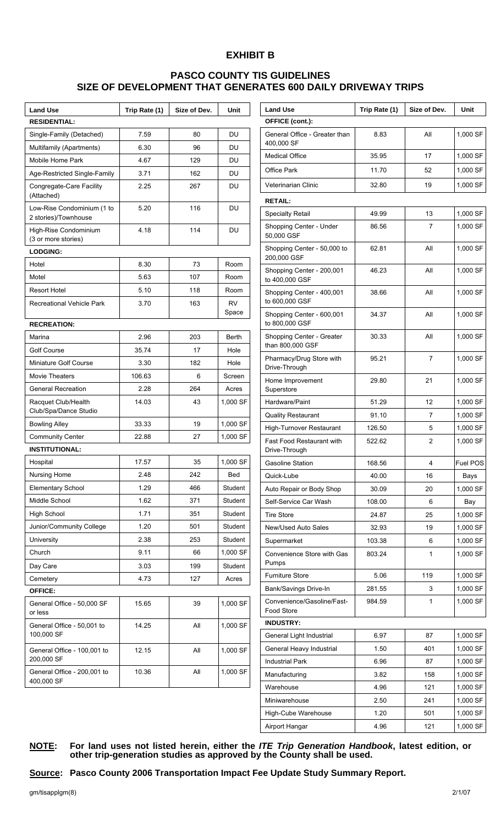## **EXHIBIT B**

## **PASCO COUNTY TIS GUIDELINES SIZE OF DEVELOPMENT THAT GENERATES 600 DAILY DRIVEWAY TRIPS**

| <b>Land Use</b>                                    | Trip Rate (1) | Size of Dev. | Unit         |
|----------------------------------------------------|---------------|--------------|--------------|
| <b>RESIDENTIAL:</b>                                |               |              |              |
| Single-Family (Detached)                           | 7.59          | 80           | DU           |
| Multifamily (Apartments)                           | 6.30          | 96           | DU           |
| Mobile Home Park                                   | 4.67          | 129          | DU           |
| Age-Restricted Single-Family                       | 3.71          | 162          | DU           |
| Congregate-Care Facility<br>(Attached)             | 2.25          | 267          | DU           |
| Low-Rise Condominium (1 to<br>2 stories)/Townhouse | 5.20          | 116          | DU           |
| High-Rise Condominium<br>(3 or more stories)       | 4.18          | 114          | DU           |
| <b>LODGING:</b>                                    |               |              |              |
| Hotel                                              | 8.30          | 73           | Room         |
| Motel                                              | 5.63          | 107          | Room         |
| <b>Resort Hotel</b>                                | 5.10          | 118          | Room         |
| <b>Recreational Vehicle Park</b>                   | 3.70          | 163          | RV<br>Space  |
| <b>RECREATION:</b>                                 |               |              |              |
| Marina                                             | 2.96          | 203          | <b>Berth</b> |
| <b>Golf Course</b>                                 | 35.74         | 17           | Hole         |
| Miniature Golf Course                              | 3.30          | 182          | Hole         |
| <b>Movie Theaters</b>                              | 106.63        | 6            | Screen       |
| <b>General Recreation</b>                          | 2.28          | 264          | Acres        |
| Racquet Club/Health<br>Club/Spa/Dance Studio       | 14.03         | 43           | 1,000 SF     |
| <b>Bowling Alley</b>                               | 33.33         | 19           | 1,000 SF     |
| <b>Community Center</b>                            | 22.88         | 27           | 1,000 SF     |
| <b>INSTITUTIONAL:</b>                              |               |              |              |
| Hospital                                           | 17.57         | 35           | 1,000 SF     |
| Nursing Home                                       | 2.48          | 242          | Bed          |
| <b>Elementary School</b>                           | 1.29          | 466          | Student      |
| Middle School                                      | 1.62          | 371          | Student      |
| High School                                        | 1.71          | 351          | Student      |
| Junior/Community College                           | 1.20          | 501          | Student      |
| University                                         | 2.38          | 253          | Student      |
| Church                                             | 9.11          | 66           | 1,000 SF     |
| Day Care                                           | 3.03          | 199          | Student      |
| Cemetery                                           | 4.73          | 127          | Acres        |
| <b>OFFICE:</b>                                     |               |              |              |
| General Office - 50,000 SF<br>or less              | 15.65         | 39           | 1,000 SF     |
| General Office - 50,001 to<br>100,000 SF           | 14.25         | All          | 1,000 SF     |
| General Office - 100,001 to<br>200,000 SF          | 12.15         | All          | 1,000 SF     |
| General Office - 200,001 to<br>400,000 SF          | 10.36         | All          | 1,000 SF     |

| <b>Land Use</b>                               | Trip Rate (1) | Size of Dev. | Unit     |
|-----------------------------------------------|---------------|--------------|----------|
| OFFICE (cont.):                               |               |              |          |
| General Office - Greater than<br>400.000 SF   | 8.83          | All          | 1,000 SF |
| <b>Medical Office</b>                         | 35.95         | 17           | 1,000 SF |
| <b>Office Park</b>                            | 11.70         | 52           | 1,000 SF |
| Veterinarian Clinic                           | 32.80         | 19           | 1,000 SF |
| <b>RETAIL:</b>                                |               |              |          |
| <b>Specialty Retail</b>                       | 49.99         | 13           | 1,000 SF |
| Shopping Center - Under<br>50,000 GSF         | 86.56         | 7            | 1,000 SF |
| Shopping Center - 50,000 to<br>200,000 GSF    | 62.81         | All          | 1,000 SF |
| Shopping Center - 200,001<br>to 400,000 GSF   | 46.23         | All          | 1,000 SF |
| Shopping Center - 400,001<br>to 600,000 GSF   | 38.66         | All          | 1,000 SF |
| Shopping Center - 600,001<br>to 800,000 GSF   | 34.37         | All          | 1,000 SF |
| Shopping Center - Greater<br>than 800,000 GSF | 30.33         | All          | 1,000 SF |
| Pharmacy/Drug Store with<br>Drive-Through     | 95.21         | 7            | 1,000 SF |
| Home Improvement<br>Superstore                | 29.80         | 21           | 1,000 SF |
| Hardware/Paint                                | 51.29         | 12           | 1,000 SF |
| <b>Quality Restaurant</b>                     | 91.10         | 7            | 1,000 SF |
| High-Turnover Restaurant                      | 126.50        | 5            | 1,000 SF |
| Fast Food Restaurant with<br>Drive-Through    | 522.62        | 2            | 1,000 SF |
| Gasoline Station                              | 168.56        | 4            | Fuel POS |
| Quick-Lube                                    | 40.00         | 16           | Bays     |
| Auto Repair or Body Shop                      | 30.09         | 20           | 1,000 SF |
| Self-Service Car Wash                         | 108.00        | 6            | Bay      |
| <b>Tire Store</b>                             | 24.87         | 25           | 1,000 SF |
| <b>New/Used Auto Sales</b>                    | 32.93         | 19           | 1,000 SF |
| Supermarket                                   | 103.38        | 6            | 1,000 SF |
| Convenience Store with Gas<br>Pumps           | 803.24        | 1            | 1,000 SF |
| <b>Furniture Store</b>                        | 5.06          | 119          | 1,000 SF |
| Bank/Savings Drive-In                         | 281.55        | 3            | 1,000 SF |
| Convenience/Gasoline/Fast-<br>Food Store      | 984.59        | 1            | 1,000 SF |
| <b>INDUSTRY:</b>                              |               |              |          |
| General Light Industrial                      | 6.97          | 87           | 1,000 SF |
| General Heavy Industrial                      | 1.50          | 401          | 1,000 SF |
| <b>Industrial Park</b>                        | 6.96          | 87           | 1,000 SF |
| Manufacturing                                 | 3.82          | 158          | 1,000 SF |
| Warehouse                                     | 4.96          | 121          | 1,000 SF |
| Miniwarehouse                                 | 2.50          | 241          | 1,000 SF |
| High-Cube Warehouse                           | 1.20          | 501          | 1,000 SF |
| Airport Hangar                                | 4.96          | 121          | 1,000 SF |

**NOTE: For land uses not listed herein, either the** *ITE Trip Generation Handbook***, latest edition, or other trip-generation studies as approved by the County shall be used.** 

**Source: Pasco County 2006 Transportation Impact Fee Update Study Summary Report.**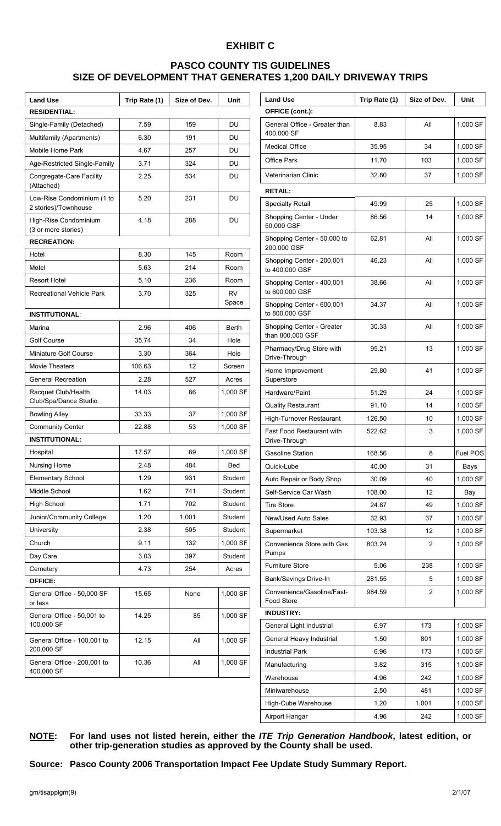# **EXHIBIT C**

# **PASCO COUNTY TIS GUIDELINES SIZE OF DEVELOPMENT THAT GENERATES 1,200 DAILY DRIVEWAY TRIPS**

| <b>Land Use</b>                                    | Trip Rate (1) | Size of Dev. | Unit               |
|----------------------------------------------------|---------------|--------------|--------------------|
| <b>RESIDENTIAL:</b>                                |               |              |                    |
| Single-Family (Detached)                           | 7.59          | 159          | DU                 |
| Multifamily (Apartments)                           | 6.30          | 191          | DU                 |
| Mobile Home Park                                   | 4.67          | 257          | DU                 |
| Age-Restricted Single-Family                       | 3.71          | 324          | DU                 |
| Congregate-Care Facility<br>(Attached)             | 2.25          | 534          | DU                 |
| Low-Rise Condominium (1 to<br>2 stories)/Townhouse | 5.20          | 231          | DU                 |
| High-Rise Condominium<br>(3 or more stories)       | 4.18          | 288          | DU                 |
| <b>RECREATION:</b>                                 |               |              |                    |
| Hotel                                              | 8.30          | 145          | Room               |
| Motel                                              | 5.63          | 214          | Room               |
| <b>Resort Hotel</b>                                | 5.10          | 236          | Room               |
| <b>Recreational Vehicle Park</b>                   | 3.70          | 325          | <b>RV</b><br>Space |
| <b>INSTITUTIONAL:</b>                              |               |              |                    |
| Marina                                             | 2.96          | 406          | <b>Berth</b>       |
| Golf Course                                        | 35.74         | 34           | Hole               |
| Miniature Golf Course                              | 3.30          | 364          | Hole               |
| <b>Movie Theaters</b>                              | 106.63        | 12           | Screen             |
| <b>General Recreation</b>                          | 2.28          | 527          | Acres              |
| Racquet Club/Health<br>Club/Spa/Dance Studio       | 14.03         | 86           | 1,000 SF           |
| <b>Bowling Alley</b>                               | 33.33         | 37           | 1,000 SF           |
| <b>Community Center</b>                            | 22.88         | 53           | 1,000 SF           |
| <b>INSTITUTIONAL:</b>                              |               |              |                    |
| Hospital                                           | 17.57         | 69           | 1,000 SF           |
| Nursing Home                                       | 2.48          | 484          | Bed                |
| <b>Elementary School</b>                           | 1.29          | 931          | Student            |
| Middle School                                      | 1.62          | 741          | Student            |
| <b>High School</b>                                 | 1.71          | 702          | Student            |
| Junior/Community College                           | 1.20          | 1,001        | Student            |
| University                                         | 2.38          | 505          | Student            |
| Church                                             | 9.11          | 132          | 1,000 SF           |
| Day Care                                           | 3.03          | 397          | Student            |
| Cemetery                                           | 4.73          | 254          | Acres              |
| <b>OFFICE:</b>                                     |               |              |                    |
| General Office - 50,000 SF<br>or less              | 15.65         | None         | 1,000 SF           |
| General Office - 50,001 to<br>100,000 SF           | 14.25         | 85           | 1,000 SF           |
| General Office - 100,001 to<br>200,000 SF          | 12.15         | All          | 1,000 SF           |
| General Office - 200,001 to<br>400,000 SF          | 10.36         | All          | 1,000 SF           |

| <b>Land Use</b>                                   | Trip Rate (1) | Size of Dev. | Unit     |
|---------------------------------------------------|---------------|--------------|----------|
| OFFICE (cont.):                                   |               |              |          |
| General Office - Greater than<br>400,000 SF       | 8.83          | All          | 1,000 SF |
| <b>Medical Office</b>                             | 35.95         | 34           | 1,000 SF |
| <b>Office Park</b>                                | 11.70         | 103          | 1,000 SF |
| Veterinarian Clinic                               | 32.80         | 37           | 1,000 SF |
| <b>RETAIL:</b>                                    |               |              |          |
| <b>Specialty Retail</b>                           | 49.99         | 25           | 1,000 SF |
| Shopping Center - Under<br>50,000 GSF             | 86.56         | 14           | 1,000 SF |
| Shopping Center - 50,000 to<br>200,000 GSF        | 62.81         | All          | 1,000 SF |
| Shopping Center - 200,001<br>to 400,000 GSF       | 46.23         | Αll          | 1,000 SF |
| Shopping Center - 400,001<br>to 600,000 GSF       | 38.66         | All          | 1,000 SF |
| Shopping Center - 600,001<br>to 800,000 GSF       | 34.37         | All          | 1,000 SF |
| Shopping Center - Greater<br>than 800,000 GSF     | 30.33         | All          | 1,000 SF |
| Pharmacy/Drug Store with<br>Drive-Through         | 95.21         | 13           | 1,000 SF |
| Home Improvement<br>Superstore                    | 29.80         | 41           | 1,000 SF |
| Hardware/Paint                                    | 51.29         | 24           | 1,000 SF |
| <b>Quality Restaurant</b>                         | 91.10         | 14           | 1,000 SF |
| High-Turnover Restaurant                          | 126.50        | 10           | 1,000 SF |
| <b>Fast Food Restaurant with</b><br>Drive-Through | 522.62        | 3            | 1,000 SF |
| <b>Gasoline Station</b>                           | 168.56        | 8            | Fuel POS |
| Quick-Lube                                        | 40.00         | 31           | Bays     |
| Auto Repair or Body Shop                          | 30.09         | 40           | 1,000 SF |
| Self-Service Car Wash                             | 108.00        | 12           | Bay      |
| <b>Tire Store</b>                                 | 24.87         | 49           | 1,000 SF |
| New/Used Auto Sales                               | 32.93         | 37           | 1,000 SF |
| Supermarket                                       | 103.38        | 12           | 1,000 SF |
| Convenience Store with Gas<br>Pumps               | 803.24        | 2            | 1,000 SF |
| Furniture Store                                   | 5.06          | 238          | 1,000 SF |
| Bank/Savings Drive-In                             | 281.55        | 5            | 1,000 SF |
| Convenience/Gasoline/Fast-<br>Food Store          | 984.59        | 2            | 1,000 SF |
| <b>INDUSTRY:</b>                                  |               |              |          |
| General Light Industrial                          | 6.97          | 173          | 1,000 SF |
| General Heavy Industrial                          | 1.50          | 801          | 1,000 SF |
| <b>Industrial Park</b>                            | 6.96          | 173          | 1,000 SF |
| Manufacturing                                     | 3.82          | 315          | 1,000 SF |
| Warehouse                                         | 4.96          | 242          | 1,000 SF |
| Miniwarehouse                                     | 2.50          | 481          | 1,000 SF |
| High-Cube Warehouse                               | 1.20          | 1,001        | 1,000 SF |
| Airport Hangar                                    | 4.96          | 242          | 1,000 SF |

## **NOTE: For land uses not listed herein, either the** *ITE Trip Generation Handbook***, latest edition, or other trip-generation studies as approved by the County shall be used.**

**Source: Pasco County 2006 Transportation Impact Fee Update Study Summary Report.**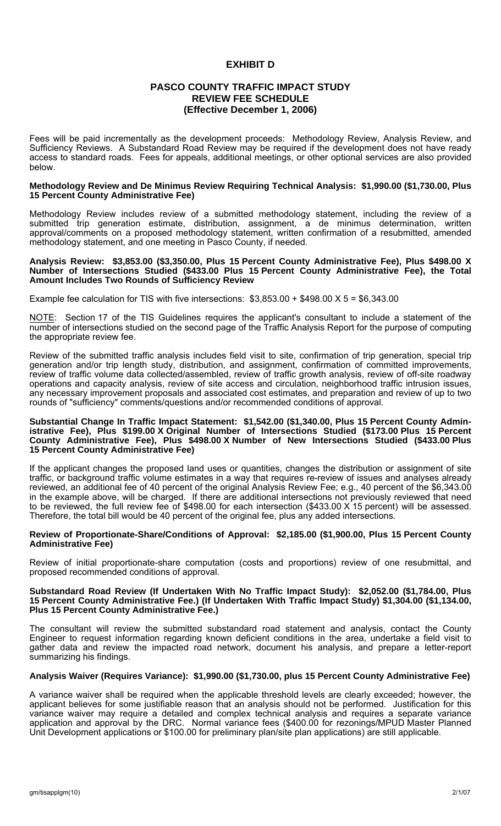## **EXHIBIT D**

## **PASCO COUNTY TRAFFIC IMPACT STUDY REVIEW FEE SCHEDULE (Effective December 1, 2006)**

Fees will be paid incrementally as the development proceeds: Methodology Review, Analysis Review, and Sufficiency Reviews. A Substandard Road Review may be required if the development does not have ready access to standard roads. Fees for appeals, additional meetings, or other optional services are also provided below.

#### **Methodology Review and De Minimus Review Requiring Technical Analysis: \$1,990.00 (\$1,730.00, Plus 15 Percent County Administrative Fee)**

Methodology Review includes review of a submitted methodology statement, including the review of a submitted trip generation estimate, distribution, assignment, a de minimus determination, written approval/comments on a proposed methodology statement, written confirmation of a resubmitted, amended methodology statement, and one meeting in Pasco County, if needed.

#### **Analysis Review: \$3,853.00 (\$3,350.00, Plus 15 Percent County Administrative Fee), Plus \$498.00 X Number of Intersections Studied (\$433.00 Plus 15 Percent County Administrative Fee), the Total Amount Includes Two Rounds of Sufficiency Review**

Example fee calculation for TIS with five intersections:  $$3,853.00 + $498.00 \times 5 = $6,343.00$ 

NOTE: Section 17 of the TIS Guidelines requires the applicant's consultant to include a statement of the number of intersections studied on the second page of the Traffic Analysis Report for the purpose of computing the appropriate review fee.

Review of the submitted traffic analysis includes field visit to site, confirmation of trip generation, special trip generation and/or trip length study, distribution, and assignment, confirmation of committed improvements, review of traffic volume data collected/assembled, review of traffic growth analysis, review of off-site roadway operations and capacity analysis, review of site access and circulation, neighborhood traffic intrusion issues, any necessary improvement proposals and associated cost estimates, and preparation and review of up to two rounds of "sufficiency" comments/questions and/or recommended conditions of approval.

#### **Substantial Change In Traffic Impact Statement: \$1,542.00 (\$1,340.00, Plus 15 Percent County Admin**istrative Fee), Plus \$199.00 X Original Number of Intersections Studied (\$173.00 Plus 15 Percent **County Administrative Fee), Plus \$498.00 X Number of New Intersections Studied (\$433.00 Plus 15 Percent County Administrative Fee)**

If the applicant changes the proposed land uses or quantities, changes the distribution or assignment of site traffic, or background traffic volume estimates in a way that requires re-review of issues and analyses already reviewed, an additional fee of 40 percent of the original Analysis Review Fee; e.g., 40 percent of the \$6,343.00 in the example above, will be charged. If there are additional intersections not previously reviewed that need to be reviewed, the full review fee of \$498.00 for each intersection (\$433.00 X 15 percent) will be assessed. Therefore, the total bill would be 40 percent of the original fee, plus any added intersections.

### **Review of Proportionate-Share/Conditions of Approval: \$2,185.00 (\$1,900.00, Plus 15 Percent County Administrative Fee)**

Review of initial proportionate-share computation (costs and proportions) review of one resubmittal, and proposed recommended conditions of approval.

### **Substandard Road Review (If Undertaken With No Traffic Impact Study): \$2,052.00 (\$1,784.00, Plus 15 Percent County Administrative Fee.) (If Undertaken With Traffic Impact Study) \$1,304.00 (\$1,134.00, Plus 15 Percent County Administrative Fee.)**

The consultant will review the submitted substandard road statement and analysis, contact the County Engineer to request information regarding known deficient conditions in the area, undertake a field visit to gather data and review the impacted road network, document his analysis, and prepare a letter-report summarizing his findings.

## **Analysis Waiver (Requires Variance): \$1,990.00 (\$1,730.00, plus 15 Percent County Administrative Fee)**

A variance waiver shall be required when the applicable threshold levels are clearly exceeded; however, the applicant believes for some justifiable reason that an analysis should not be performed. Justification for this variance waiver may require a detailed and complex technical analysis and requires a separate variance application and approval by the DRC. Normal variance fees (\$400.00 for rezonings/MPUD Master Planned Unit Development applications or \$100.00 for preliminary plan/site plan applications) are still applicable.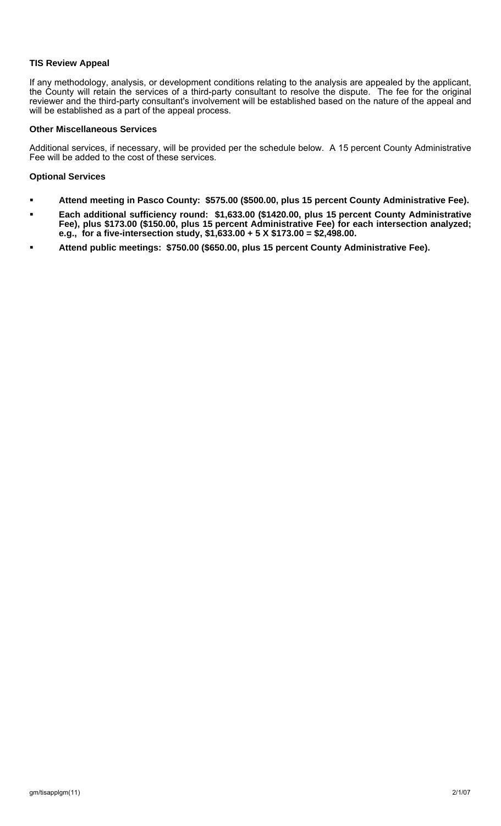## **TIS Review Appeal**

If any methodology, analysis, or development conditions relating to the analysis are appealed by the applicant, the County will retain the services of a third-party consultant to resolve the dispute. The fee for the original reviewer and the third-party consultant's involvement will be established based on the nature of the appeal and will be established as a part of the appeal process.

### **Other Miscellaneous Services**

Additional services, if necessary, will be provided per the schedule below. A 15 percent County Administrative Fee will be added to the cost of these services.

## **Optional Services**

- **Attend meeting in Pasco County: \$575.00 (\$500.00, plus 15 percent County Administrative Fee).**
- **Each additional sufficiency round: \$1,633.00 (\$1420.00, plus 15 percent County Administrative Fee), plus \$173.00 (\$150.00, plus 15 percent Administrative Fee) for each intersection analyzed; e.g., for a five-intersection study, \$1,633.00 + 5 X \$173.00 = \$2,498.00.**
- **Attend public meetings: \$750.00 (\$650.00, plus 15 percent County Administrative Fee).**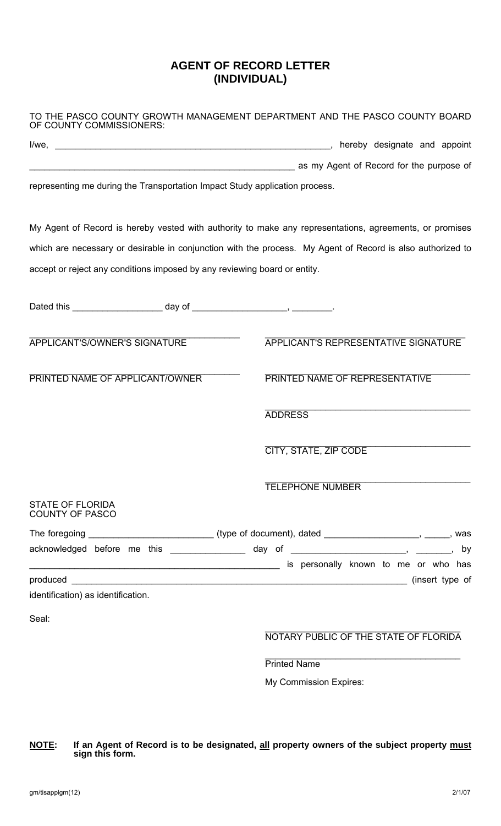# **AGENT OF RECORD LETTER (INDIVIDUAL)**

| OF COUNTY COMMISSIONERS:                                                    | TO THE PASCO COUNTY GROWTH MANAGEMENT DEPARTMENT AND THE PASCO COUNTY BOARD                                    |
|-----------------------------------------------------------------------------|----------------------------------------------------------------------------------------------------------------|
|                                                                             |                                                                                                                |
|                                                                             | as my Agent of Record for the purpose of                                                                       |
| representing me during the Transportation Impact Study application process. |                                                                                                                |
|                                                                             | My Agent of Record is hereby vested with authority to make any representations, agreements, or promises        |
|                                                                             | which are necessary or desirable in conjunction with the process. My Agent of Record is also authorized to     |
| accept or reject any conditions imposed by any reviewing board or entity.   |                                                                                                                |
|                                                                             |                                                                                                                |
| APPLICANT'S/OWNER'S SIGNATURE                                               | <b>APPLICANT'S REPRESENTATIVE SIGNATURE</b>                                                                    |
| PRINTED NAME OF APPLICANT/OWNER                                             | PRINTED NAME OF REPRESENTATIVE                                                                                 |
|                                                                             | <b>ADDRESS</b>                                                                                                 |
|                                                                             | <b>CITY, STATE, ZIP CODE</b>                                                                                   |
|                                                                             | TELEPHONE NUMBER                                                                                               |
| <b>STATE OF FLORIDA</b><br><b>COUNTY OF PASCO</b>                           |                                                                                                                |
|                                                                             | The foregoing ________________________________(type of document), dated ________________________, ______, was  |
|                                                                             | acknowledged before me this ________________ day of _______________________, _______, by                       |
|                                                                             | is personally known to me or who has sensor that the mental contract the metal of the metal of the metal of th |
| identification) as identification.                                          |                                                                                                                |
| Seal:                                                                       |                                                                                                                |
|                                                                             | NOTARY PUBLIC OF THE STATE OF FLORIDA                                                                          |
|                                                                             | <b>Printed Name</b>                                                                                            |
|                                                                             | My Commission Expires:                                                                                         |

### **NOTE: If an Agent of Record is to be designated, all property owners of the subject property must sign this form.**